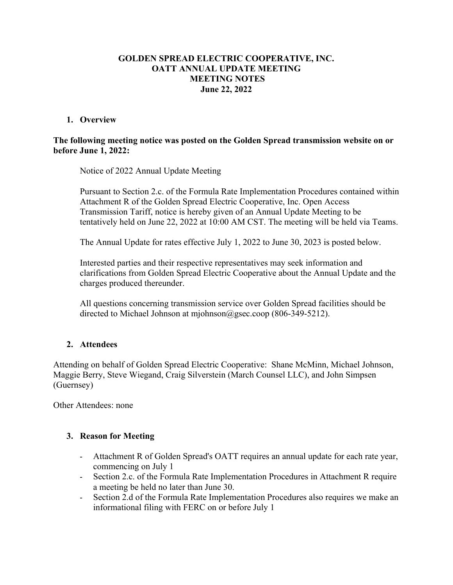# **GOLDEN SPREAD ELECTRIC COOPERATIVE, INC. OATT ANNUAL UPDATE MEETING MEETING NOTES June 22, 2022**

### **1. Overview**

#### **The following meeting notice was posted on the Golden Spread transmission website on or before June 1, 2022:**

Notice of 2022 Annual Update Meeting

Pursuant to Section 2.c. of the Formula Rate Implementation Procedures contained within Attachment R of the Golden Spread Electric Cooperative, Inc. Open Access Transmission Tariff, notice is hereby given of an Annual Update Meeting to be tentatively held on June 22, 2022 at 10:00 AM CST. The meeting will be held via Teams.

The Annual Update for rates effective July 1, 2022 to June 30, 2023 is posted below.

Interested parties and their respective representatives may seek information and clarifications from Golden Spread Electric Cooperative about the Annual Update and the charges produced thereunder.

All questions concerning transmission service over Golden Spread facilities should be directed to Michael Johnson at mjohnson@gsec.coop (806-349-5212).

# **2. Attendees**

Attending on behalf of Golden Spread Electric Cooperative: Shane McMinn, Michael Johnson, Maggie Berry, Steve Wiegand, Craig Silverstein (March Counsel LLC), and John Simpsen (Guernsey)

Other Attendees: none

#### **3. Reason for Meeting**

- Attachment R of Golden Spread's OATT requires an annual update for each rate year, commencing on July 1
- Section 2.c. of the Formula Rate Implementation Procedures in Attachment R require a meeting be held no later than June 30.
- Section 2.d of the Formula Rate Implementation Procedures also requires we make an informational filing with FERC on or before July 1